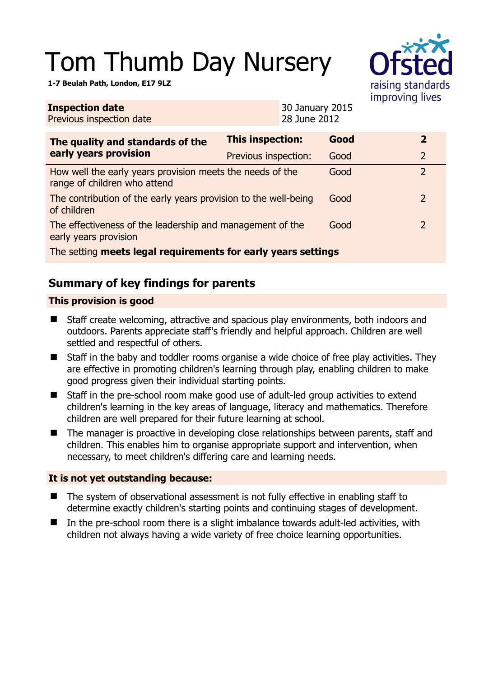# Tom Thumb Day Nursery

**1-7 Beulah Path, London, E17 9LZ** 

| ÷                 |
|-------------------|
| raising standards |
| improving lives   |

| <b>Inspection date</b><br>Previous inspection date                                        |                         | 30 January 2015<br>28 June 2012 |      |  |                |
|-------------------------------------------------------------------------------------------|-------------------------|---------------------------------|------|--|----------------|
| The quality and standards of the<br>early years provision                                 | <b>This inspection:</b> |                                 | Good |  | $\overline{2}$ |
|                                                                                           | Previous inspection:    |                                 | Good |  | $\overline{2}$ |
| How well the early years provision meets the needs of the<br>range of children who attend |                         |                                 | Good |  | $\overline{2}$ |
| The contribution of the early years provision to the well-being<br>of children            |                         |                                 | Good |  | 2              |
| The effectiveness of the leadership and management of the<br>early years provision        |                         |                                 | Good |  | $\overline{2}$ |
| The setting meets legal requirements for early years settings                             |                         |                                 |      |  |                |

# **Summary of key findings for parents**

## **This provision is good**

- Staff create welcoming, attractive and spacious play environments, both indoors and outdoors. Parents appreciate staff's friendly and helpful approach. Children are well settled and respectful of others.
- Staff in the baby and toddler rooms organise a wide choice of free play activities. They are effective in promoting children's learning through play, enabling children to make good progress given their individual starting points.
- Staff in the pre-school room make good use of adult-led group activities to extend children's learning in the key areas of language, literacy and mathematics. Therefore children are well prepared for their future learning at school.
- The manager is proactive in developing close relationships between parents, staff and children. This enables him to organise appropriate support and intervention, when necessary, to meet children's differing care and learning needs.

## **It is not yet outstanding because:**

- The system of observational assessment is not fully effective in enabling staff to determine exactly children's starting points and continuing stages of development.
- $\blacksquare$  In the pre-school room there is a slight imbalance towards adult-led activities, with children not always having a wide variety of free choice learning opportunities.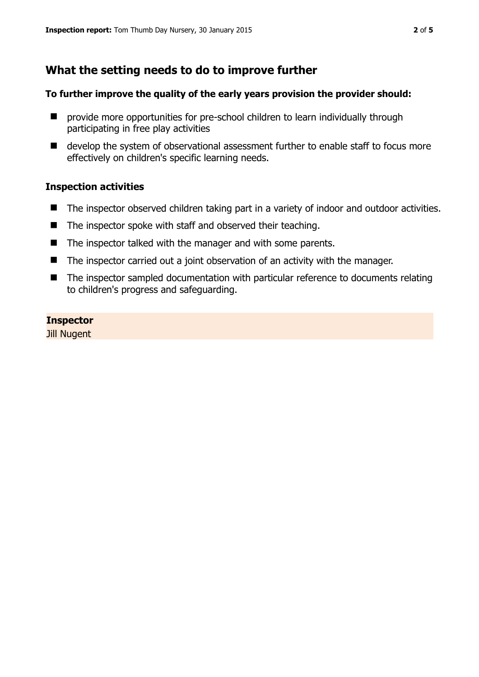# **What the setting needs to do to improve further**

#### **To further improve the quality of the early years provision the provider should:**

- **E** provide more opportunities for pre-school children to learn individually through participating in free play activities
- develop the system of observational assessment further to enable staff to focus more effectively on children's specific learning needs.

#### **Inspection activities**

- The inspector observed children taking part in a variety of indoor and outdoor activities.
- $\blacksquare$  The inspector spoke with staff and observed their teaching.
- The inspector talked with the manager and with some parents.
- The inspector carried out a joint observation of an activity with the manager.
- The inspector sampled documentation with particular reference to documents relating to children's progress and safeguarding.

#### **Inspector**

Jill Nugent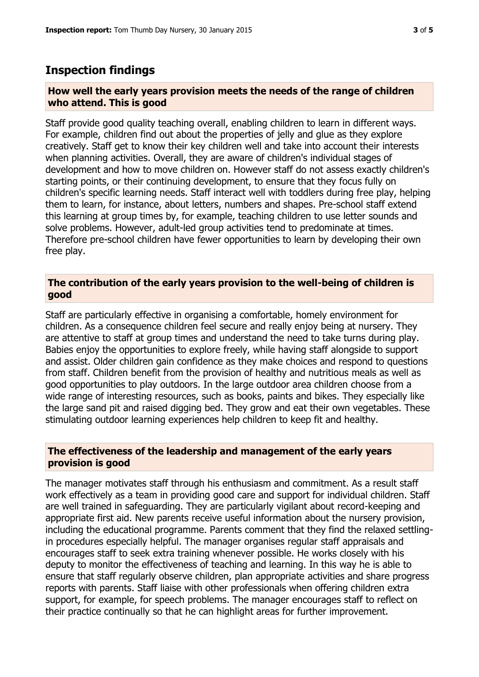## **Inspection findings**

#### **How well the early years provision meets the needs of the range of children who attend. This is good**

Staff provide good quality teaching overall, enabling children to learn in different ways. For example, children find out about the properties of jelly and glue as they explore creatively. Staff get to know their key children well and take into account their interests when planning activities. Overall, they are aware of children's individual stages of development and how to move children on. However staff do not assess exactly children's starting points, or their continuing development, to ensure that they focus fully on children's specific learning needs. Staff interact well with toddlers during free play, helping them to learn, for instance, about letters, numbers and shapes. Pre-school staff extend this learning at group times by, for example, teaching children to use letter sounds and solve problems. However, adult-led group activities tend to predominate at times. Therefore pre-school children have fewer opportunities to learn by developing their own free play.

#### **The contribution of the early years provision to the well-being of children is good**

Staff are particularly effective in organising a comfortable, homely environment for children. As a consequence children feel secure and really enjoy being at nursery. They are attentive to staff at group times and understand the need to take turns during play. Babies enjoy the opportunities to explore freely, while having staff alongside to support and assist. Older children gain confidence as they make choices and respond to questions from staff. Children benefit from the provision of healthy and nutritious meals as well as good opportunities to play outdoors. In the large outdoor area children choose from a wide range of interesting resources, such as books, paints and bikes. They especially like the large sand pit and raised digging bed. They grow and eat their own vegetables. These stimulating outdoor learning experiences help children to keep fit and healthy.

#### **The effectiveness of the leadership and management of the early years provision is good**

The manager motivates staff through his enthusiasm and commitment. As a result staff work effectively as a team in providing good care and support for individual children. Staff are well trained in safeguarding. They are particularly vigilant about record-keeping and appropriate first aid. New parents receive useful information about the nursery provision, including the educational programme. Parents comment that they find the relaxed settlingin procedures especially helpful. The manager organises regular staff appraisals and encourages staff to seek extra training whenever possible. He works closely with his deputy to monitor the effectiveness of teaching and learning. In this way he is able to ensure that staff regularly observe children, plan appropriate activities and share progress reports with parents. Staff liaise with other professionals when offering children extra support, for example, for speech problems. The manager encourages staff to reflect on their practice continually so that he can highlight areas for further improvement.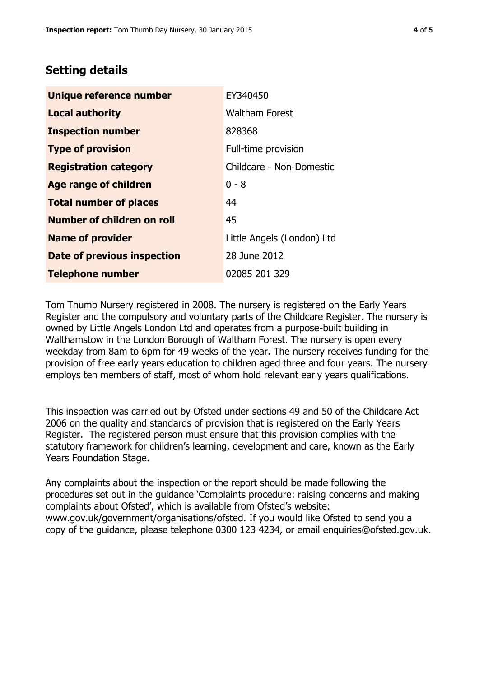## **Setting details**

| Unique reference number       | EY340450                   |
|-------------------------------|----------------------------|
| <b>Local authority</b>        | <b>Waltham Forest</b>      |
| <b>Inspection number</b>      | 828368                     |
| <b>Type of provision</b>      | Full-time provision        |
| <b>Registration category</b>  | Childcare - Non-Domestic   |
| Age range of children         | $0 - 8$                    |
| <b>Total number of places</b> | 44                         |
| Number of children on roll    | 45                         |
| <b>Name of provider</b>       | Little Angels (London) Ltd |
| Date of previous inspection   | 28 June 2012               |
| <b>Telephone number</b>       | 02085 201 329              |

Tom Thumb Nursery registered in 2008. The nursery is registered on the Early Years Register and the compulsory and voluntary parts of the Childcare Register. The nursery is owned by Little Angels London Ltd and operates from a purpose-built building in Walthamstow in the London Borough of Waltham Forest. The nursery is open every weekday from 8am to 6pm for 49 weeks of the year. The nursery receives funding for the provision of free early years education to children aged three and four years. The nursery employs ten members of staff, most of whom hold relevant early years qualifications.

This inspection was carried out by Ofsted under sections 49 and 50 of the Childcare Act 2006 on the quality and standards of provision that is registered on the Early Years Register. The registered person must ensure that this provision complies with the statutory framework for children's learning, development and care, known as the Early Years Foundation Stage.

Any complaints about the inspection or the report should be made following the procedures set out in the guidance 'Complaints procedure: raising concerns and making complaints about Ofsted', which is available from Ofsted's website: www.gov.uk/government/organisations/ofsted. If you would like Ofsted to send you a copy of the guidance, please telephone 0300 123 4234, or email enquiries@ofsted.gov.uk.